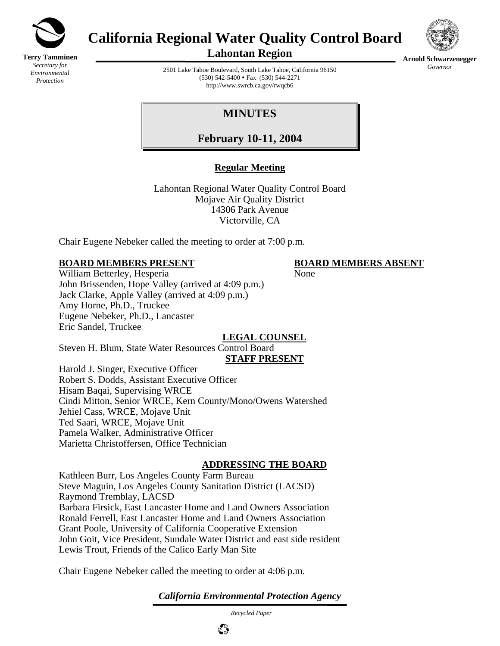

**Terry Tamminen** *Secretary for Environmental Protection*

# **California Regional Water Quality Control Board**



**Arnold Schwarzenegger** *Governor* 

**Lahontan Region** 

2501 Lake Tahoe Boulevard, South Lake Tahoe, California 96150  $(530)$  542-5400 • Fax  $(530)$  544-2271 http://www.swrcb.ca.gov/rwqcb6

**MINUTES** 

**February 10-11, 2004**

# **Regular Meeting**

Lahontan Regional Water Quality Control Board Mojave Air Quality District 14306 Park Avenue Victorville, CA

Chair Eugene Nebeker called the meeting to order at 7:00 p.m.

### **BOARD MEMBERS PRESENT BOARD MEMBERS ABSENT**

William Betterley, Hesperia None John Brissenden, Hope Valley (arrived at 4:09 p.m.) Jack Clarke, Apple Valley (arrived at 4:09 p.m.) Amy Horne, Ph.D., Truckee Eugene Nebeker, Ph.D., Lancaster Eric Sandel, Truckee **LEGAL COUNSEL**

Steven H. Blum, State Water Resources Control Board **STAFF PRESENT** Harold J. Singer, Executive Officer

Robert S. Dodds, Assistant Executive Officer Hisam Baqai, Supervising WRCE Cindi Mitton, Senior WRCE, Kern County/Mono/Owens Watershed Jehiel Cass, WRCE, Mojave Unit Ted Saari, WRCE, Mojave Unit Pamela Walker, Administrative Officer Marietta Christoffersen, Office Technician

# **ADDRESSING THE BOARD**

Kathleen Burr, Los Angeles County Farm Bureau Steve Maguin, Los Angeles County Sanitation District (LACSD) Raymond Tremblay, LACSD Barbara Firsick, East Lancaster Home and Land Owners Association Ronald Ferrell, East Lancaster Home and Land Owners Association Grant Poole, University of California Cooperative Extension John Goit, Vice President, Sundale Water District and east side resident Lewis Trout, Friends of the Calico Early Man Site

Chair Eugene Nebeker called the meeting to order at 4:06 p.m.

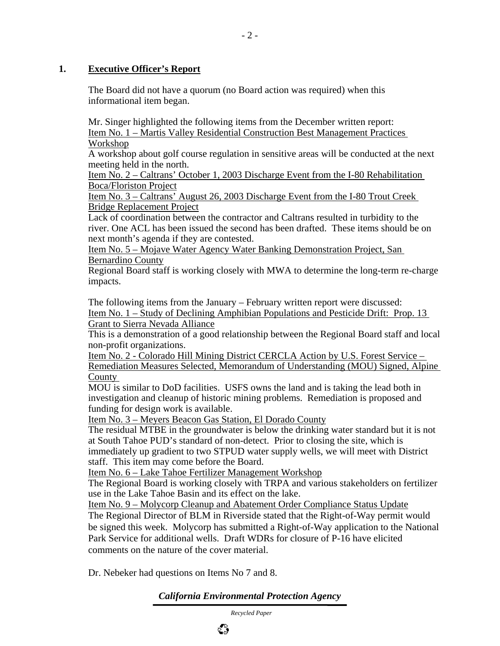#### **1. Executive Officer's Report**

The Board did not have a quorum (no Board action was required) when this informational item began.

Mr. Singer highlighted the following items from the December written report: Item No. 1 – Martis Valley Residential Construction Best Management Practices Workshop

A workshop about golf course regulation in sensitive areas will be conducted at the next meeting held in the north.

Item No. 2 – Caltrans' October 1, 2003 Discharge Event from the I-80 Rehabilitation Boca/Floriston Project

Item No. 3 – Caltrans' August 26, 2003 Discharge Event from the I-80 Trout Creek Bridge Replacement Project

Lack of coordination between the contractor and Caltrans resulted in turbidity to the river. One ACL has been issued the second has been drafted. These items should be on next month's agenda if they are contested.

Item No. 5 – Mojave Water Agency Water Banking Demonstration Project, San Bernardino County

Regional Board staff is working closely with MWA to determine the long-term re-charge impacts.

The following items from the January – February written report were discussed: Item No. 1 – Study of Declining Amphibian Populations and Pesticide Drift: Prop. 13 Grant to Sierra Nevada Alliance

This is a demonstration of a good relationship between the Regional Board staff and local non-profit organizations.

Item No. 2 - Colorado Hill Mining District CERCLA Action by U.S. Forest Service – Remediation Measures Selected, Memorandum of Understanding (MOU) Signed, Alpine County

MOU is similar to DoD facilities. USFS owns the land and is taking the lead both in investigation and cleanup of historic mining problems. Remediation is proposed and funding for design work is available.

Item No. 3 – Meyers Beacon Gas Station, El Dorado County

The residual MTBE in the groundwater is below the drinking water standard but it is not at South Tahoe PUD's standard of non-detect. Prior to closing the site, which is immediately up gradient to two STPUD water supply wells, we will meet with District staff. This item may come before the Board.

Item No. 6 – Lake Tahoe Fertilizer Management Workshop

The Regional Board is working closely with TRPA and various stakeholders on fertilizer use in the Lake Tahoe Basin and its effect on the lake.

Item No. 9 – Molycorp Cleanup and Abatement Order Compliance Status Update The Regional Director of BLM in Riverside stated that the Right-of-Way permit would be signed this week. Molycorp has submitted a Right-of-Way application to the National Park Service for additional wells. Draft WDRs for closure of P-16 have elicited comments on the nature of the cover material.

Dr. Nebeker had questions on Items No 7 and 8.

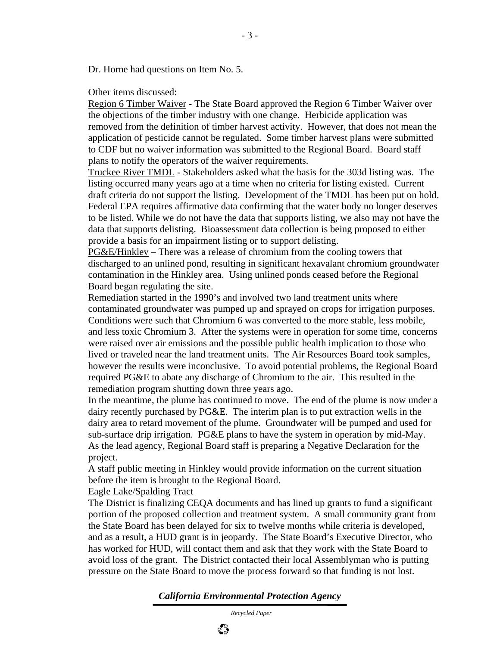Dr. Horne had questions on Item No. 5.

Other items discussed:

Region 6 Timber Waiver - The State Board approved the Region 6 Timber Waiver over the objections of the timber industry with one change. Herbicide application was removed from the definition of timber harvest activity. However, that does not mean the application of pesticide cannot be regulated. Some timber harvest plans were submitted to CDF but no waiver information was submitted to the Regional Board. Board staff plans to notify the operators of the waiver requirements.

Truckee River TMDL - Stakeholders asked what the basis for the 303d listing was. The listing occurred many years ago at a time when no criteria for listing existed. Current draft criteria do not support the listing. Development of the TMDL has been put on hold. Federal EPA requires affirmative data confirming that the water body no longer deserves to be listed. While we do not have the data that supports listing, we also may not have the data that supports delisting. Bioassessment data collection is being proposed to either provide a basis for an impairment listing or to support delisting.

PG&E/Hinkley – There was a release of chromium from the cooling towers that discharged to an unlined pond, resulting in significant hexavalant chromium groundwater contamination in the Hinkley area. Using unlined ponds ceased before the Regional Board began regulating the site.

Remediation started in the 1990's and involved two land treatment units where contaminated groundwater was pumped up and sprayed on crops for irrigation purposes. Conditions were such that Chromium 6 was converted to the more stable, less mobile, and less toxic Chromium 3. After the systems were in operation for some time, concerns were raised over air emissions and the possible public health implication to those who lived or traveled near the land treatment units. The Air Resources Board took samples, however the results were inconclusive. To avoid potential problems, the Regional Board required PG&E to abate any discharge of Chromium to the air. This resulted in the remediation program shutting down three years ago.

In the meantime, the plume has continued to move. The end of the plume is now under a dairy recently purchased by PG&E. The interim plan is to put extraction wells in the dairy area to retard movement of the plume. Groundwater will be pumped and used for sub-surface drip irrigation. PG&E plans to have the system in operation by mid-May. As the lead agency, Regional Board staff is preparing a Negative Declaration for the project.

A staff public meeting in Hinkley would provide information on the current situation before the item is brought to the Regional Board.

Eagle Lake/Spalding Tract

The District is finalizing CEQA documents and has lined up grants to fund a significant portion of the proposed collection and treatment system. A small community grant from the State Board has been delayed for six to twelve months while criteria is developed, and as a result, a HUD grant is in jeopardy. The State Board's Executive Director, who has worked for HUD, will contact them and ask that they work with the State Board to avoid loss of the grant. The District contacted their local Assemblyman who is putting pressure on the State Board to move the process forward so that funding is not lost.

ಭಿ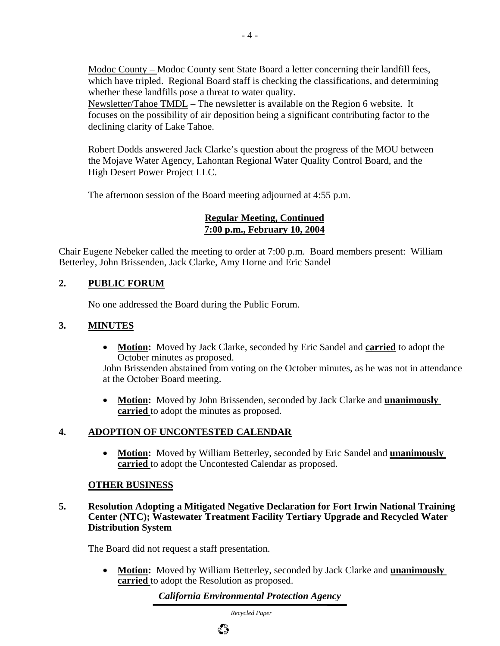Modoc County – Modoc County sent State Board a letter concerning their landfill fees, which have tripled. Regional Board staff is checking the classifications, and determining whether these landfills pose a threat to water quality.

Newsletter/Tahoe TMDL – The newsletter is available on the Region 6 website. It focuses on the possibility of air deposition being a significant contributing factor to the declining clarity of Lake Tahoe.

Robert Dodds answered Jack Clarke's question about the progress of the MOU between the Mojave Water Agency, Lahontan Regional Water Quality Control Board, and the High Desert Power Project LLC.

The afternoon session of the Board meeting adjourned at 4:55 p.m.

#### **Regular Meeting, Continued 7:00 p.m., February 10, 2004**

Chair Eugene Nebeker called the meeting to order at 7:00 p.m. Board members present: William Betterley, John Brissenden, Jack Clarke, Amy Horne and Eric Sandel

# **2. PUBLIC FORUM**

No one addressed the Board during the Public Forum.

# **3. MINUTES**

• **Motion:** Moved by Jack Clarke, seconded by Eric Sandel and **carried** to adopt the October minutes as proposed.

John Brissenden abstained from voting on the October minutes, as he was not in attendance at the October Board meeting.

• **Motion:** Moved by John Brissenden, seconded by Jack Clarke and **unanimously carried** to adopt the minutes as proposed.

# **4. ADOPTION OF UNCONTESTED CALENDAR**

• **Motion:** Moved by William Betterley, seconded by Eric Sandel and **unanimously carried** to adopt the Uncontested Calendar as proposed.

# **OTHER BUSINESS**

**5. Resolution Adopting a Mitigated Negative Declaration for Fort Irwin National Training Center (NTC); Wastewater Treatment Facility Tertiary Upgrade and Recycled Water Distribution System**

The Board did not request a staff presentation.

• **Motion:** Moved by William Betterley, seconded by Jack Clarke and **unanimously carried** to adopt the Resolution as proposed.

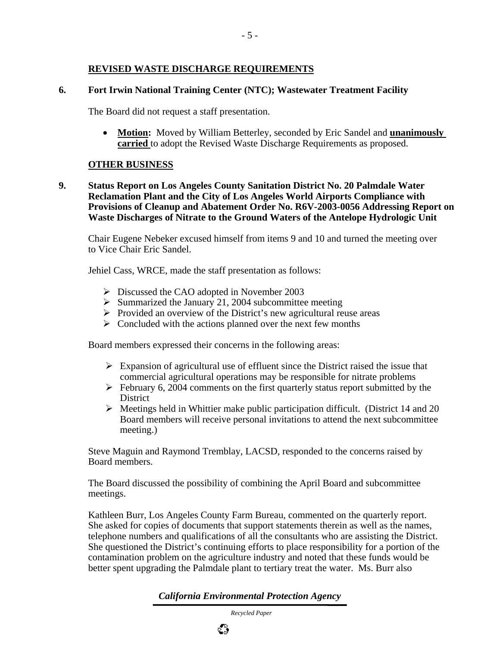#### **REVISED WASTE DISCHARGE REQUIREMENTS**

#### **6. Fort Irwin National Training Center (NTC); Wastewater Treatment Facility**

The Board did not request a staff presentation.

• **Motion:** Moved by William Betterley, seconded by Eric Sandel and **unanimously carried** to adopt the Revised Waste Discharge Requirements as proposed.

#### **OTHER BUSINESS**

**9. Status Report on Los Angeles County Sanitation District No. 20 Palmdale Water Reclamation Plant and the City of Los Angeles World Airports Compliance with Provisions of Cleanup and Abatement Order No. R6V-2003-0056 Addressing Report on Waste Discharges of Nitrate to the Ground Waters of the Antelope Hydrologic Unit** 

Chair Eugene Nebeker excused himself from items 9 and 10 and turned the meeting over to Vice Chair Eric Sandel.

Jehiel Cass, WRCE, made the staff presentation as follows:

- ¾ Discussed the CAO adopted in November 2003
- $\triangleright$  Summarized the January 21, 2004 subcommittee meeting
- $\triangleright$  Provided an overview of the District's new agricultural reuse areas
- $\triangleright$  Concluded with the actions planned over the next few months

Board members expressed their concerns in the following areas:

- $\triangleright$  Expansion of agricultural use of effluent since the District raised the issue that commercial agricultural operations may be responsible for nitrate problems
- $\triangleright$  February 6, 2004 comments on the first quarterly status report submitted by the **District**
- $\triangleright$  Meetings held in Whittier make public participation difficult. (District 14 and 20) Board members will receive personal invitations to attend the next subcommittee meeting.)

Steve Maguin and Raymond Tremblay, LACSD, responded to the concerns raised by Board members.

The Board discussed the possibility of combining the April Board and subcommittee meetings.

Kathleen Burr, Los Angeles County Farm Bureau, commented on the quarterly report. She asked for copies of documents that support statements therein as well as the names, telephone numbers and qualifications of all the consultants who are assisting the District. She questioned the District's continuing efforts to place responsibility for a portion of the contamination problem on the agriculture industry and noted that these funds would be better spent upgrading the Palmdale plant to tertiary treat the water. Ms. Burr also

*California Environmental Protection Agency*

 *Recycled Paper*

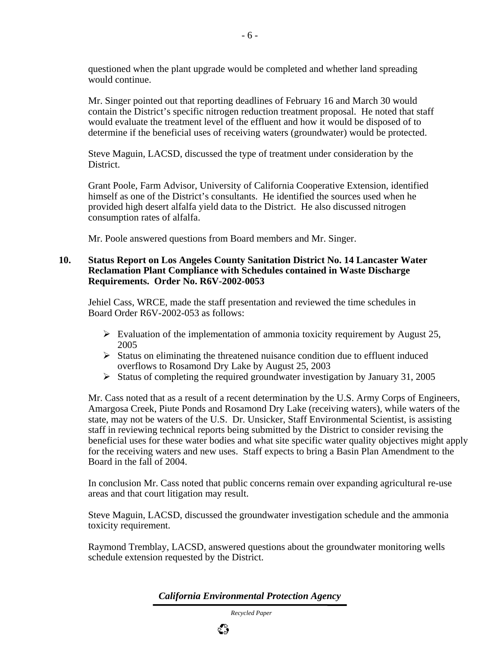questioned when the plant upgrade would be completed and whether land spreading would continue.

Mr. Singer pointed out that reporting deadlines of February 16 and March 30 would contain the District's specific nitrogen reduction treatment proposal. He noted that staff would evaluate the treatment level of the effluent and how it would be disposed of to determine if the beneficial uses of receiving waters (groundwater) would be protected.

Steve Maguin, LACSD, discussed the type of treatment under consideration by the District.

Grant Poole, Farm Advisor, University of California Cooperative Extension, identified himself as one of the District's consultants. He identified the sources used when he provided high desert alfalfa yield data to the District. He also discussed nitrogen consumption rates of alfalfa.

Mr. Poole answered questions from Board members and Mr. Singer.

#### **10. Status Report on Los Angeles County Sanitation District No. 14 Lancaster Water Reclamation Plant Compliance with Schedules contained in Waste Discharge Requirements. Order No. R6V-2002-0053**

Jehiel Cass, WRCE, made the staff presentation and reviewed the time schedules in Board Order R6V-2002-053 as follows:

- $\triangleright$  Evaluation of the implementation of ammonia toxicity requirement by August 25, 2005
- $\triangleright$  Status on eliminating the threatened nuisance condition due to effluent induced overflows to Rosamond Dry Lake by August 25, 2003
- $\triangleright$  Status of completing the required groundwater investigation by January 31, 2005

Mr. Cass noted that as a result of a recent determination by the U.S. Army Corps of Engineers, Amargosa Creek, Piute Ponds and Rosamond Dry Lake (receiving waters), while waters of the state, may not be waters of the U.S. Dr. Unsicker, Staff Environmental Scientist, is assisting staff in reviewing technical reports being submitted by the District to consider revising the beneficial uses for these water bodies and what site specific water quality objectives might apply for the receiving waters and new uses. Staff expects to bring a Basin Plan Amendment to the Board in the fall of 2004.

In conclusion Mr. Cass noted that public concerns remain over expanding agricultural re-use areas and that court litigation may result.

Steve Maguin, LACSD, discussed the groundwater investigation schedule and the ammonia toxicity requirement.

Raymond Tremblay, LACSD, answered questions about the groundwater monitoring wells schedule extension requested by the District.

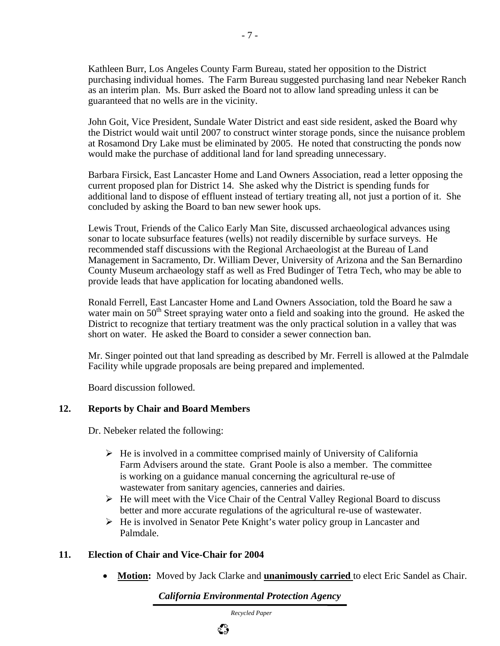Kathleen Burr, Los Angeles County Farm Bureau, stated her opposition to the District purchasing individual homes. The Farm Bureau suggested purchasing land near Nebeker Ranch as an interim plan. Ms. Burr asked the Board not to allow land spreading unless it can be guaranteed that no wells are in the vicinity.

John Goit, Vice President, Sundale Water District and east side resident, asked the Board why the District would wait until 2007 to construct winter storage ponds, since the nuisance problem at Rosamond Dry Lake must be eliminated by 2005. He noted that constructing the ponds now would make the purchase of additional land for land spreading unnecessary.

Barbara Firsick, East Lancaster Home and Land Owners Association, read a letter opposing the current proposed plan for District 14. She asked why the District is spending funds for additional land to dispose of effluent instead of tertiary treating all, not just a portion of it. She concluded by asking the Board to ban new sewer hook ups.

Lewis Trout, Friends of the Calico Early Man Site, discussed archaeological advances using sonar to locate subsurface features (wells) not readily discernible by surface surveys. He recommended staff discussions with the Regional Archaeologist at the Bureau of Land Management in Sacramento, Dr. William Dever, University of Arizona and the San Bernardino County Museum archaeology staff as well as Fred Budinger of Tetra Tech, who may be able to provide leads that have application for locating abandoned wells.

Ronald Ferrell, East Lancaster Home and Land Owners Association, told the Board he saw a water main on  $50<sup>th</sup>$  Street spraying water onto a field and soaking into the ground. He asked the District to recognize that tertiary treatment was the only practical solution in a valley that was short on water. He asked the Board to consider a sewer connection ban.

Mr. Singer pointed out that land spreading as described by Mr. Ferrell is allowed at the Palmdale Facility while upgrade proposals are being prepared and implemented.

Board discussion followed.

#### **12. Reports by Chair and Board Members**

Dr. Nebeker related the following:

- $\triangleright$  He is involved in a committee comprised mainly of University of California Farm Advisers around the state. Grant Poole is also a member. The committee is working on a guidance manual concerning the agricultural re-use of wastewater from sanitary agencies, canneries and dairies.
- $\triangleright$  He will meet with the Vice Chair of the Central Valley Regional Board to discuss better and more accurate regulations of the agricultural re-use of wastewater.
- $\triangleright$  He is involved in Senator Pete Knight's water policy group in Lancaster and Palmdale.

#### **11. Election of Chair and Vice-Chair for 2004**

• **Motion:** Moved by Jack Clarke and **unanimously carried** to elect Eric Sandel as Chair.